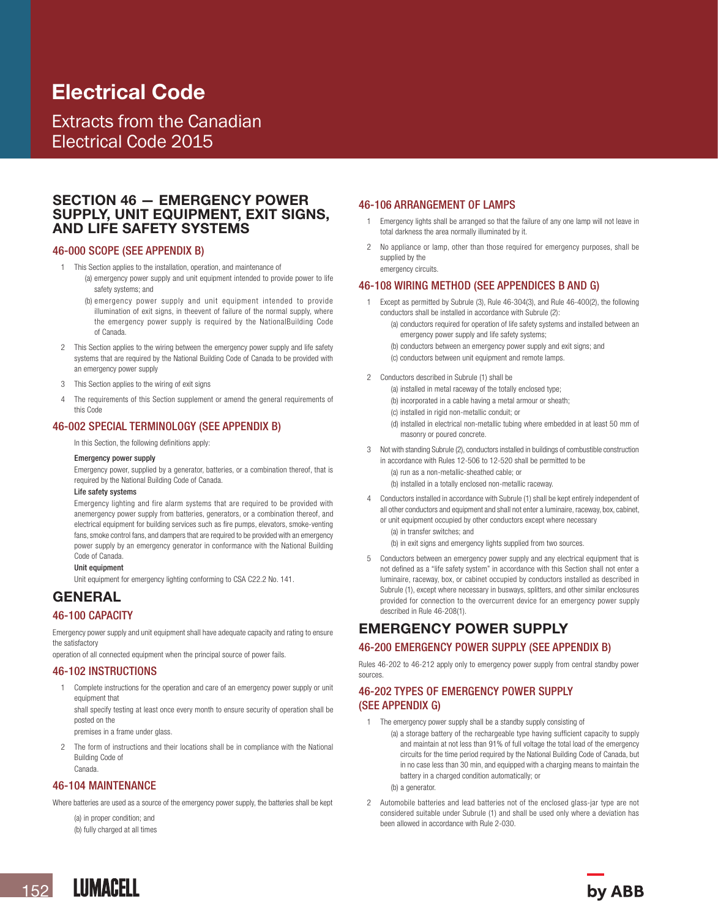# Electrical Code

Extracts from the Canadian Electrical Code 2015

## SECTION 46 — EMERGENCY POWER SUPPLY, UNIT EQUIPMENT, EXIT SIGNS, AND LIFE SAFETY SYSTEMS

#### 46-000 SCOPE (SEE APPENDIX B)

- 1 This Section applies to the installation, operation, and maintenance of
	- (a) emergency power supply and unit equipment intended to provide power to life safety systems; and
		- (b) emergency power supply and unit equipment intended to provide illumination of exit signs, in theevent of failure of the normal supply, where the emergency power supply is required by the NationalBuilding Code of Canada.
- 2 This Section applies to the wiring between the emergency power supply and life safety systems that are required by the National Building Code of Canada to be provided with an emergency power supply
- 3 This Section applies to the wiring of exit signs
- The requirements of this Section supplement or amend the general requirements of this Code

## 46-002 SPECIAL TERMINOLOGY (SEE APPENDIX B)

In this Section, the following definitions apply:

#### Emergency power supply

Emergency power, supplied by a generator, batteries, or a combination thereof, that is required by the National Building Code of Canada.

#### Life safety systems

Emergency lighting and fire alarm systems that are required to be provided with anemergency power supply from batteries, generators, or a combination thereof, and electrical equipment for building services such as fire pumps, elevators, smoke-venting fans, smoke control fans, and dampers that are required to be provided with an emergency power supply by an emergency generator in conformance with the National Building Code of Canada.

#### Unit equipment

Unit equipment for emergency lighting conforming to CSA C22.2 No. 141.

# **GENERAL**

#### 46-100 CAPACITY

Emergency power supply and unit equipment shall have adequate capacity and rating to ensure the satisfactory

operation of all connected equipment when the principal source of power fails.

## 46-102 INSTRUCTIONS

1 Complete instructions for the operation and care of an emergency power supply or unit equipment that

shall specify testing at least once every month to ensure security of operation shall be posted on the

premises in a frame under glass.

The form of instructions and their locations shall be in compliance with the National Building Code of Canada.

### 46-104 MAINTENANCE

Where batteries are used as a source of the emergency power supply, the batteries shall be kept

(a) in proper condition; and (b) fully charged at all times

#### 46-106 ARRANGEMENT OF LAMPS

- 1 Emergency lights shall be arranged so that the failure of any one lamp will not leave in total darkness the area normally illuminated by it.
- 2 No appliance or lamp, other than those required for emergency purposes, shall be supplied by the emergency circuits.

## 46-108 WIRING METHOD (SEE APPENDICES B AND G)

- 1 Except as permitted by Subrule (3), Rule 46-304(3), and Rule 46-400(2), the following conductors shall be installed in accordance with Subrule (2):
	- (a) conductors required for operation of life safety systems and installed between an emergency power supply and life safety systems;
	- (b) conductors between an emergency power supply and exit signs; and
	- (c) conductors between unit equipment and remote lamps.
- 2 Conductors described in Subrule (1) shall be
	- (a) installed in metal raceway of the totally enclosed type;
	- (b) incorporated in a cable having a metal armour or sheath;
	- (c) installed in rigid non-metallic conduit; or
	- (d) installed in electrical non-metallic tubing where embedded in at least 50 mm of masonry or poured concrete.
- 3 Not with standing Subrule (2), conductors installed in buildings of combustible construction in accordance with Rules 12-506 to 12-520 shall be permitted to be (a) run as a non-metallic-sheathed cable; or
	- (b) installed in a totally enclosed non-metallic raceway.
- 4 Conductors installed in accordance with Subrule (1) shall be kept entirely independent of all other conductors and equipment and shall not enter a luminaire, raceway, box, cabinet, or unit equipment occupied by other conductors except where necessary (a) in transfer switches; and

(b) in exit signs and emergency lights supplied from two sources.

5 Conductors between an emergency power supply and any electrical equipment that is not defined as a "life safety system" in accordance with this Section shall not enter a luminaire, raceway, box, or cabinet occupied by conductors installed as described in Subrule (1), except where necessary in busways, splitters, and other similar enclosures provided for connection to the overcurrent device for an emergency power supply described in Rule 46-208(1).

## EMERGENCY POWER SUPPLY

## 46-200 EMERGENCY POWER SUPPLY (SEE APPENDIX B)

Rules 46-202 to 46-212 apply only to emergency power supply from central standby power sources.

## 46-202 TYPES OF EMERGENCY POWER SUPPLY (SEE APPENDIX G)

- 1 The emergency power supply shall be a standby supply consisting of
	- (a) a storage battery of the rechargeable type having sufficient capacity to supply and maintain at not less than 91% of full voltage the total load of the emergency circuits for the time period required by the National Building Code of Canada, but in no case less than 30 min, and equipped with a charging means to maintain the battery in a charged condition automatically; or

(b) a generator.

2 Automobile batteries and lead batteries not of the enclosed glass-jar type are not considered suitable under Subrule (1) and shall be used only where a deviation has been allowed in accordance with Rule 2-030.